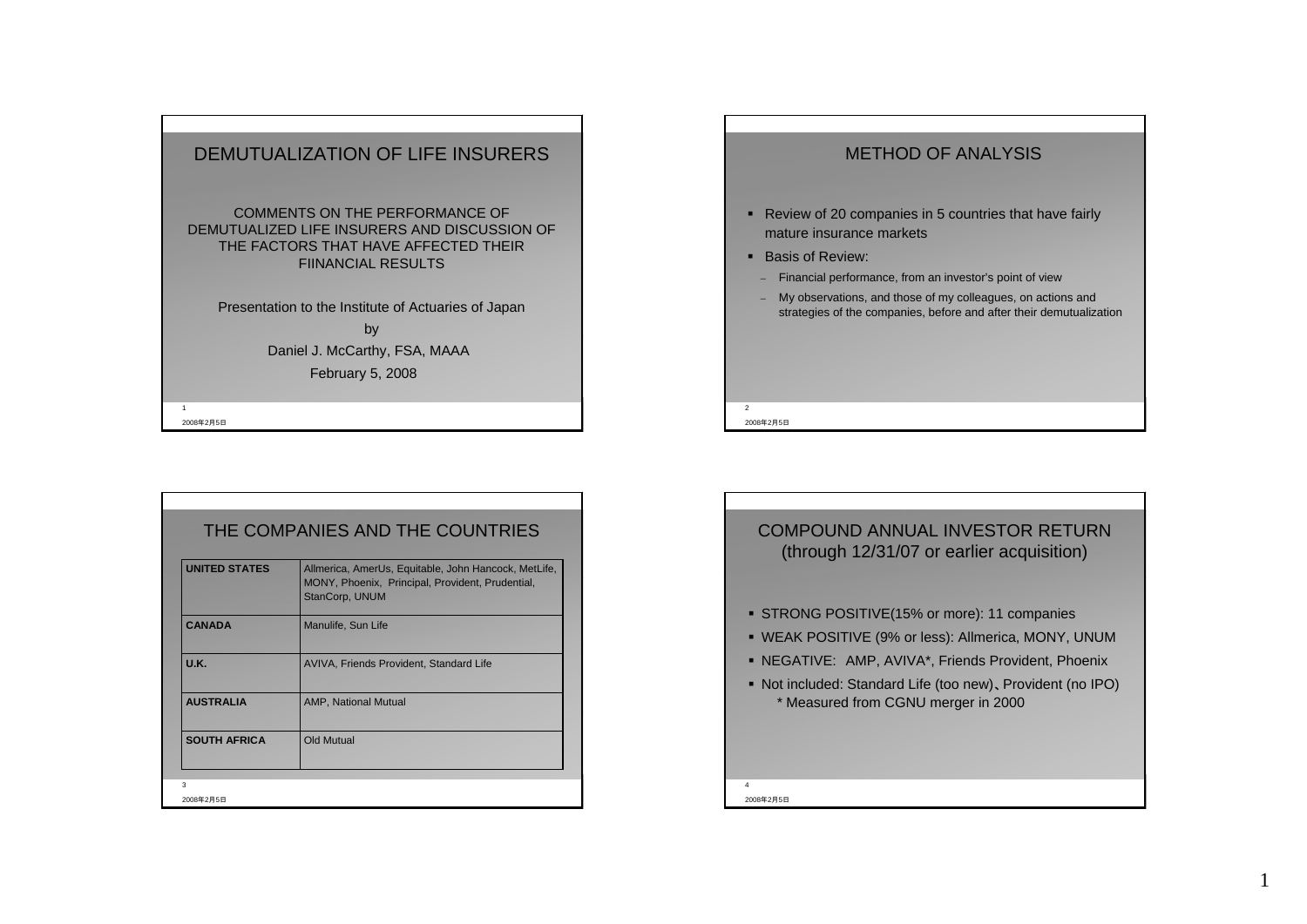

|                | 2008年2月5日                                                                                                                          |
|----------------|------------------------------------------------------------------------------------------------------------------------------------|
| $\mathfrak{p}$ |                                                                                                                                    |
|                |                                                                                                                                    |
|                | My observations, and those of my colleagues, on actions and<br>strategies of the companies, before and after their demutualization |
|                | Financial performance, from an investor's point of view                                                                            |
|                | • Basis of Review:                                                                                                                 |
|                |                                                                                                                                    |
|                | • Review of 20 companies in 5 countries that have fairly<br>mature insurance markets                                               |

METHOD OF ANALYSIS

| THE COMPANIES AND THE COUNTRIES |                                                                                                                            |  |  |  |
|---------------------------------|----------------------------------------------------------------------------------------------------------------------------|--|--|--|
| <b>UNITED STATES</b>            | Allmerica, AmerUs, Equitable, John Hancock, MetLife,<br>MONY, Phoenix, Principal, Provident, Prudential,<br>StanCorp, UNUM |  |  |  |
| <b>CANADA</b>                   | Manulife, Sun Life                                                                                                         |  |  |  |
| <b>U.K.</b>                     | AVIVA, Friends Provident, Standard Life                                                                                    |  |  |  |
| <b>AUSTRALIA</b>                | <b>AMP, National Mutual</b>                                                                                                |  |  |  |
| <b>SOUTH AFRICA</b>             | Old Mutual                                                                                                                 |  |  |  |
| $\mathbf{3}$                    |                                                                                                                            |  |  |  |
| 2008年2月5日                       |                                                                                                                            |  |  |  |



1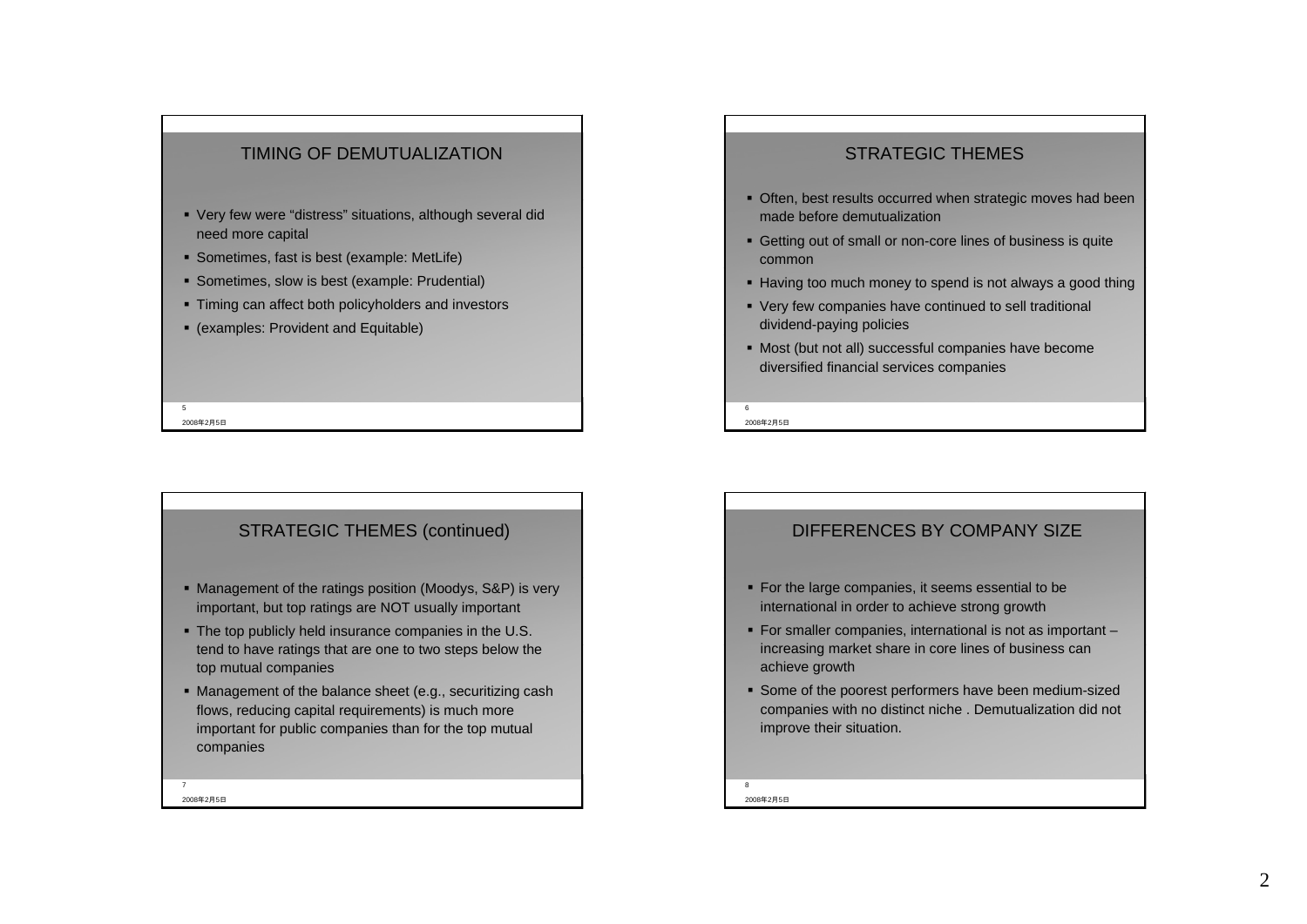### TIMING OF DEMUTUALIZATION

- Very few were "distress" situations, although several did need more capital
- Sometimes, fast is best (example: MetLife)
- Sometimes, slow is best (example: Prudential)
- Timing can affect both policyholders and investors
- (examples: Provident and Equitable)

### 5

2008年2月5日

### STRATEGIC THEMES (continued)

- Management of the ratings position (Moodys, S&P) is very important, but top ratings are NOT usually important
- The top publicly held insurance companies in the U.S. tend to have ratings that are one to two steps below the top mutual companies
- Management of the balance sheet (e.g., securitizing cash flows, reducing capital requirements) is much more important for public companies than for the top mutual companies

2008年2月5日

7

### STRATEGIC THEMES

- Often, best results occurred when strategic moves had been made before demutualization
- Getting out of small or non-core lines of business is quite common
- Having too much money to spend is not always a good thing
- Very few companies have continued to sell traditional dividend-paying policies
- Most (but not all) successful companies have become diversified financial services companies

2008年2月5日

 $\epsilon$ 

### DIFFERENCES BY COMPANY SIZE

- **For the large companies, it seems essential to be** international in order to achieve strong growth
- For smaller companies, international is not as important increasing market share in core lines of business can achieve growth
- Some of the poorest performers have been medium-sized companies with no distinct niche . Demutualization did not improve their situation.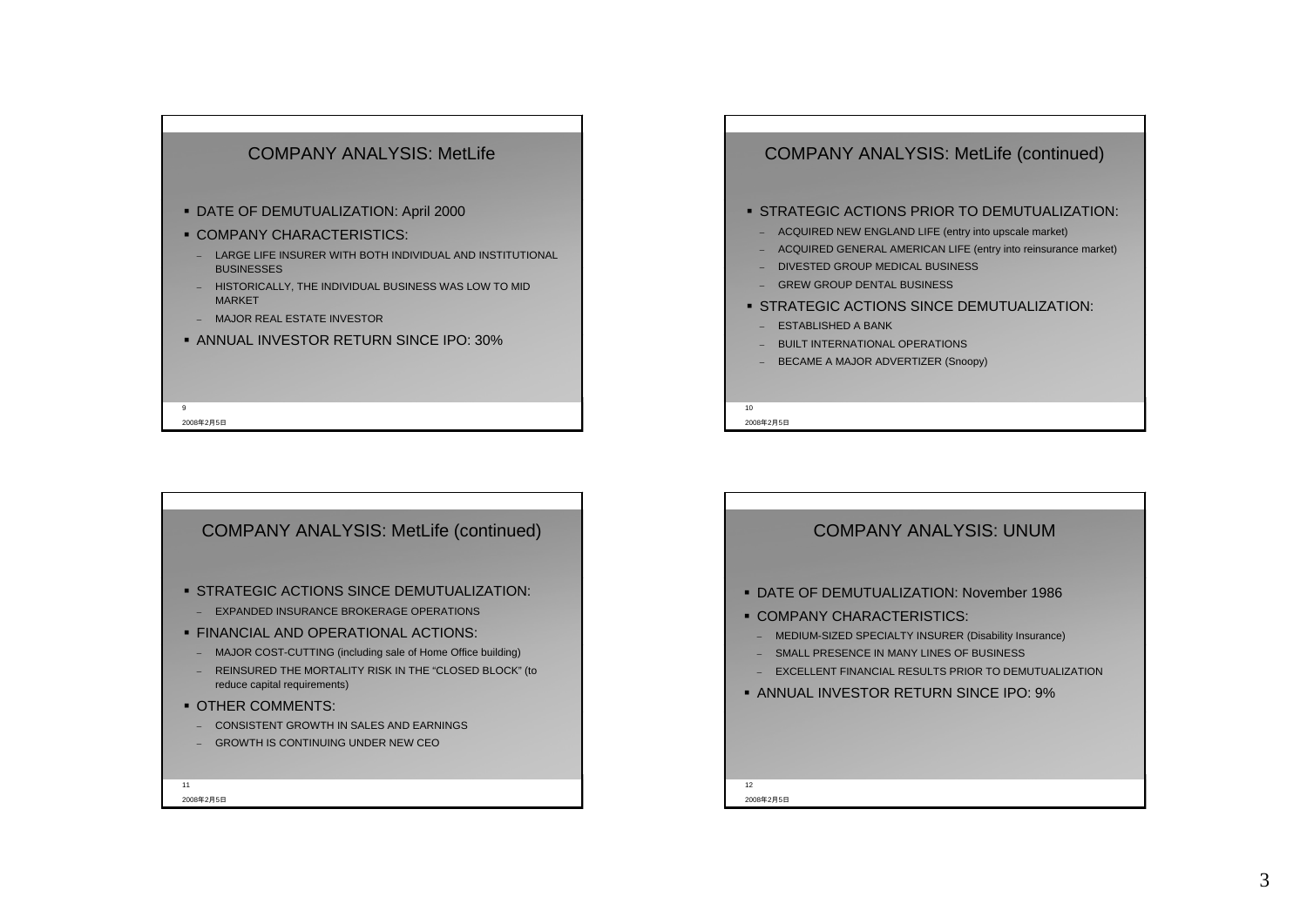

### COMPANY ANALYSIS: MetLife (continued)

#### STRATEGIC ACTIONS PRIOR TO DEMUTUALIZATION:

- ACQUIRED NEW ENGLAND LIFE (entry into upscale market)
- –ACQUIRED GENERAL AMERICAN LIFE (entry into reinsurance market)
- –- DIVESTED GROUP MEDICAL BUSINESS
- GREW GROUP DENTAL BUSINESS
- STRATEGIC ACTIONS SINCE DEMUTUALIZATION:
	- ESTABLISHED A BANK
- BUILT INTERNATIONAL OPERATIONS
- BECAME A MAJOR ADVERTIZER (Snoopy)

2008年2月5日

 $10<sup>1</sup>$ 



# 2008年2月5日12 COMPANY ANALYSIS: UNUM DATE OF DEMUTUALIZATION: November 1986 **COMPANY CHARACTERISTICS:**  MEDIUM-SIZED SPECIALTY INSURER (Disability Insurance) SMALL PRESENCE IN MANY LINES OF BUSINESSEXCELLENT FINANCIAL RESULTS PRIOR TO DEMUTUALIZATION ANNUAL INVESTOR RETURN SINCE IPO: 9%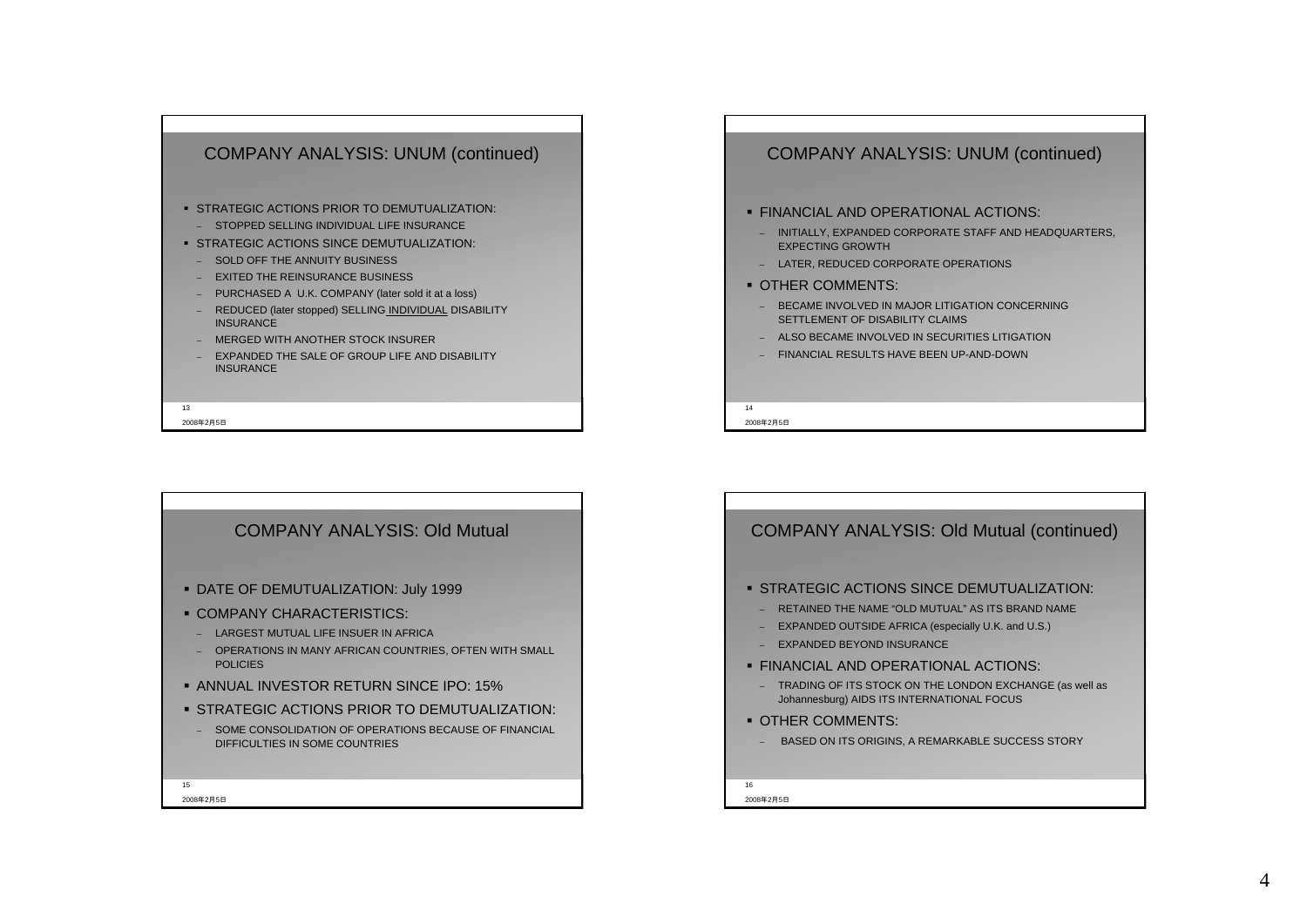

#### 2008年2月5日

### COMPANY ANALYSIS: UNUM (continued)

#### FINANCIAL AND OPERATIONAL ACTIONS:

- INITIALLY, EXPANDED CORPORATE STAFF AND HEADQUARTERS, EXPECTING GROWTH
- LATER, REDUCED CORPORATE OPERATIONS
- OTHER COMMENTS:
- BECAME INVOLVED IN MAJOR LITIGATION CONCERNING SETTLEMENT OF DISABILITY CLAIMS
- ALSO BECAME INVOLVED IN SECURITIES LITIGATION
- FINANCIAL RESULTS HAVE BEEN UP-AND-DOWN

2008年2月5日

14



## 2008年2月5日16 COMPANY ANALYSIS: Old Mutual (continued) STRATEGIC ACTIONS SINCE DEMUTUALIZATION: RETAINED THE NAME "OLD MUTUAL" AS ITS BRAND NAME – EXPANDED OUTSIDE AFRICA (especially U.K. and U.S.) EXPANDED BEYOND INSURANCE FINANCIAL AND OPERATIONAL ACTIONS: – TRADING OF ITS STOCK ON THE LONDON EXCHANGE (as well as Johannesburg) AIDS ITS INTERNATIONAL FOCUS **OTHER COMMENTS:** BASED ON ITS ORIGINS, A REMARKABLE SUCCESS STORY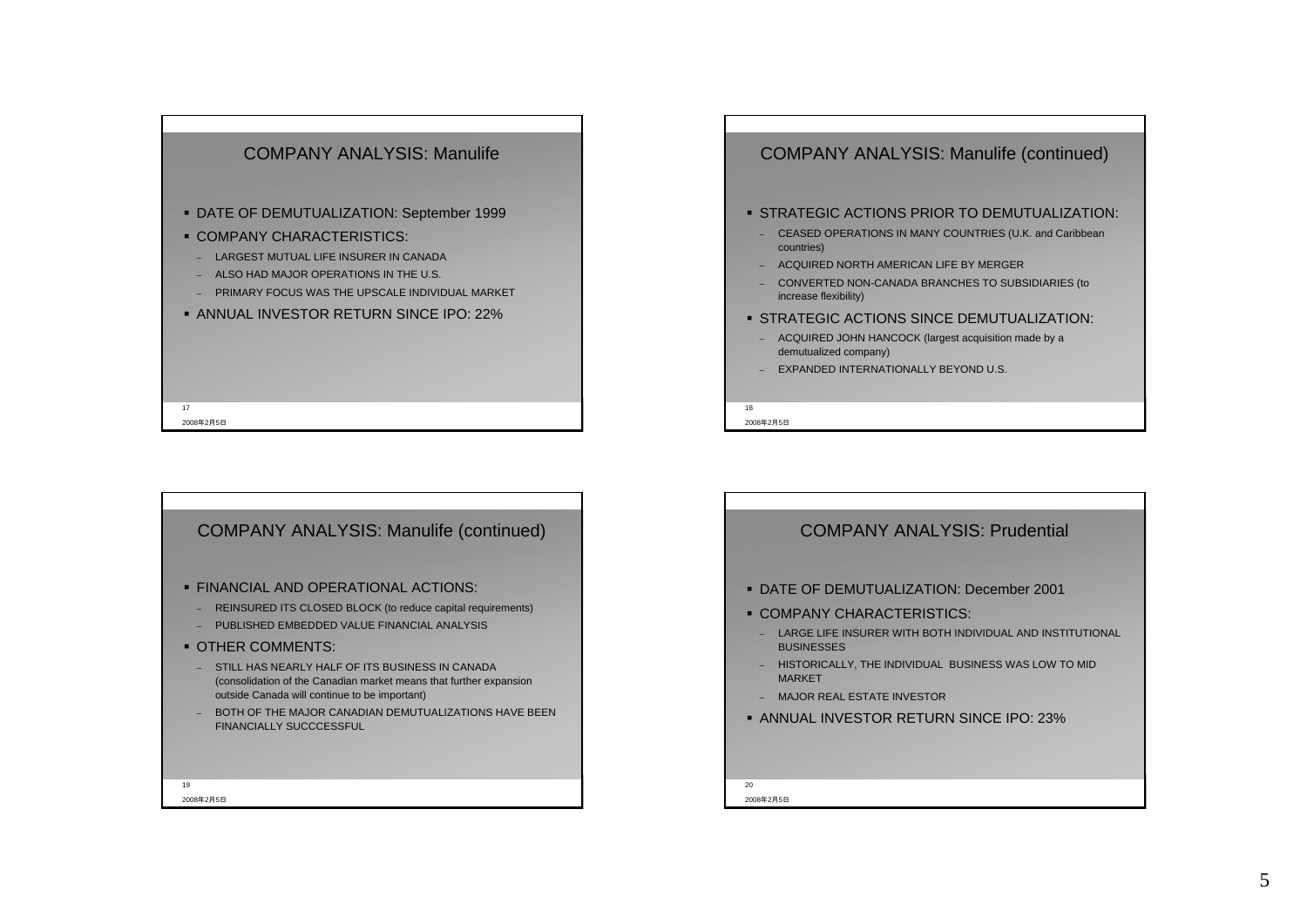

### COMPANY ANALYSIS: Manulife (continued)

#### STRATEGIC ACTIONS PRIOR TO DEMUTUALIZATION:

- CEASED OPERATIONS IN MANY COUNTRIES (U.K. and Caribbean countries)
- ACQUIRED NORTH AMERICAN LIFE BY MERGER
- CONVERTED NON-CANADA BRANCHES TO SUBSIDIARIES (to increase flexibility)
- STRATEGIC ACTIONS SINCE DEMUTUALIZATION:
- ACQUIRED JOHN HANCOCK (largest acquisition made by a demutualized company)
- EXPANDED INTERNATIONALLY BEYOND U.S.

2008年2月5日

18



# 2008年2月5日20 COMPANY ANALYSIS: Prudential DATE OF DEMUTUALIZATION: December 2001**• COMPANY CHARACTERISTICS:** – LARGE LIFE INSURER WITH BOTH INDIVIDUAL AND INSTITUTIONAL BUSINESSES – HISTORICALLY, THE INDIVIDUAL BUSINESS WAS LOW TO MID **MARKET**  MAJOR REAL ESTATE INVESTORANNUAL INVESTOR RETURN SINCE IPO: 23%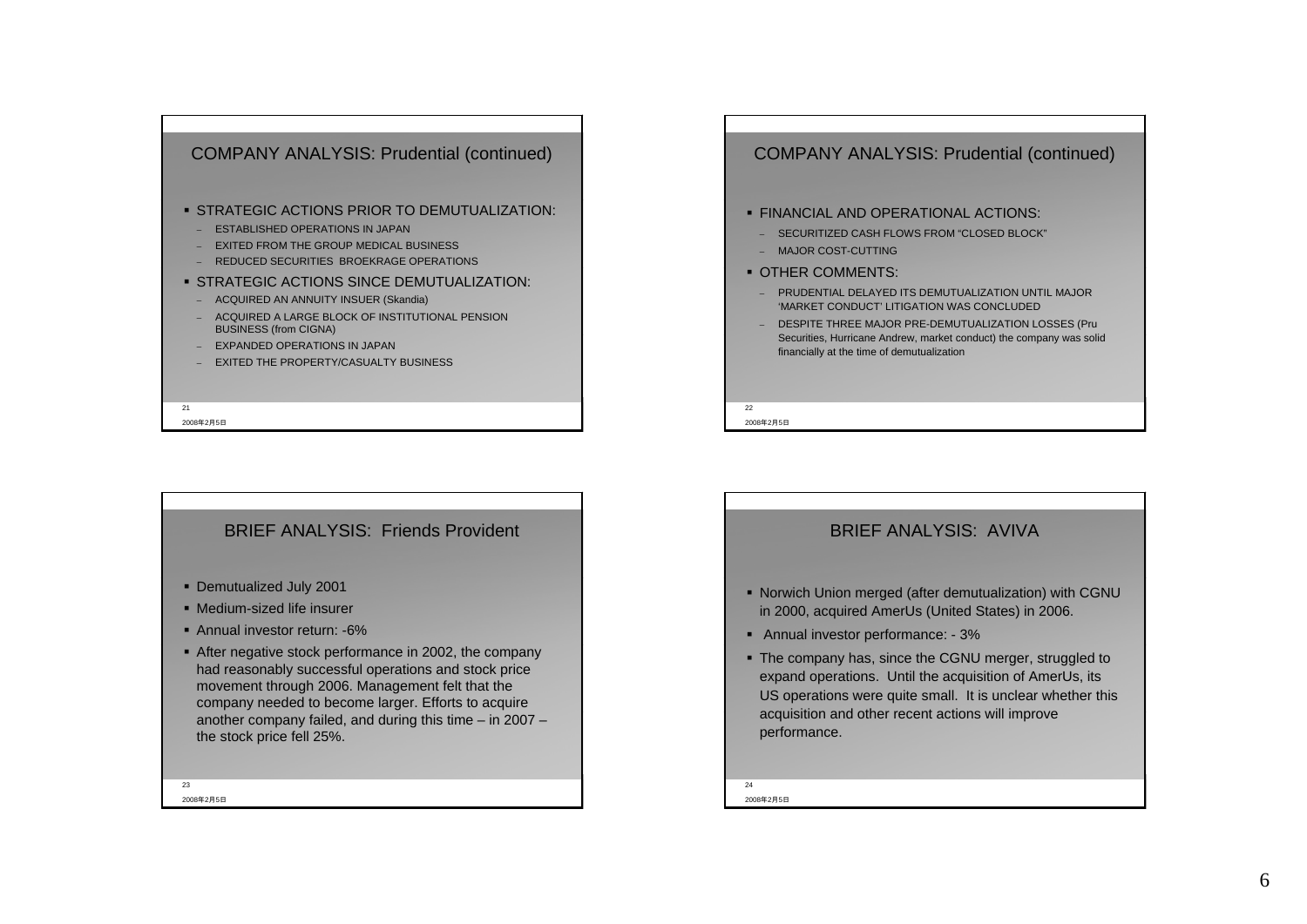

### BRIEF ANALYSIS: Friends Provident

- Demutualized July 2001
- Medium-sized life insurer
- Annual investor return: -6%
- After negative stock performance in 2002, the company had reasonably successful operations and stock price movement through 2006. Management felt that the company needed to become larger. Efforts to acquire another company failed, and during this time – in 2007 – the stock price fell 25%.

2008年2月5日23

### COMPANY ANALYSIS: Prudential (continued)

#### FINANCIAL AND OPERATIONAL ACTIONS:

- SECURITIZED CASH FLOWS FROM "CLOSED BLOCK"
- MAJOR COST-CUTTING
- OTHER COMMENTS:
- PRUDENTIAL DELAYED ITS DEMUTUALIZATION UNTIL MAJOR 'MARKET CONDUCT' LITIGATION WAS CONCLUDED
- DESPITE THREE MAJOR PRE-DEMUTUALIZATION LOSSES (Pru Securities, Hurricane Andrew, market conduct) the company was solid financially at the time of demutualization

2008年2月5日 $22$ 

### BRIEF ANALYSIS: AVIVA

- Norwich Union merged (after demutualization) with CGNU in 2000, acquired AmerUs (United States) in 2006.
- Annual investor performance: 3%
- The company has, since the CGNU merger, struggled to expand operations. Until the acquisition of AmerUs, its US operations were quite small. It is unclear whether this acquisition and other recent actions will improve performance.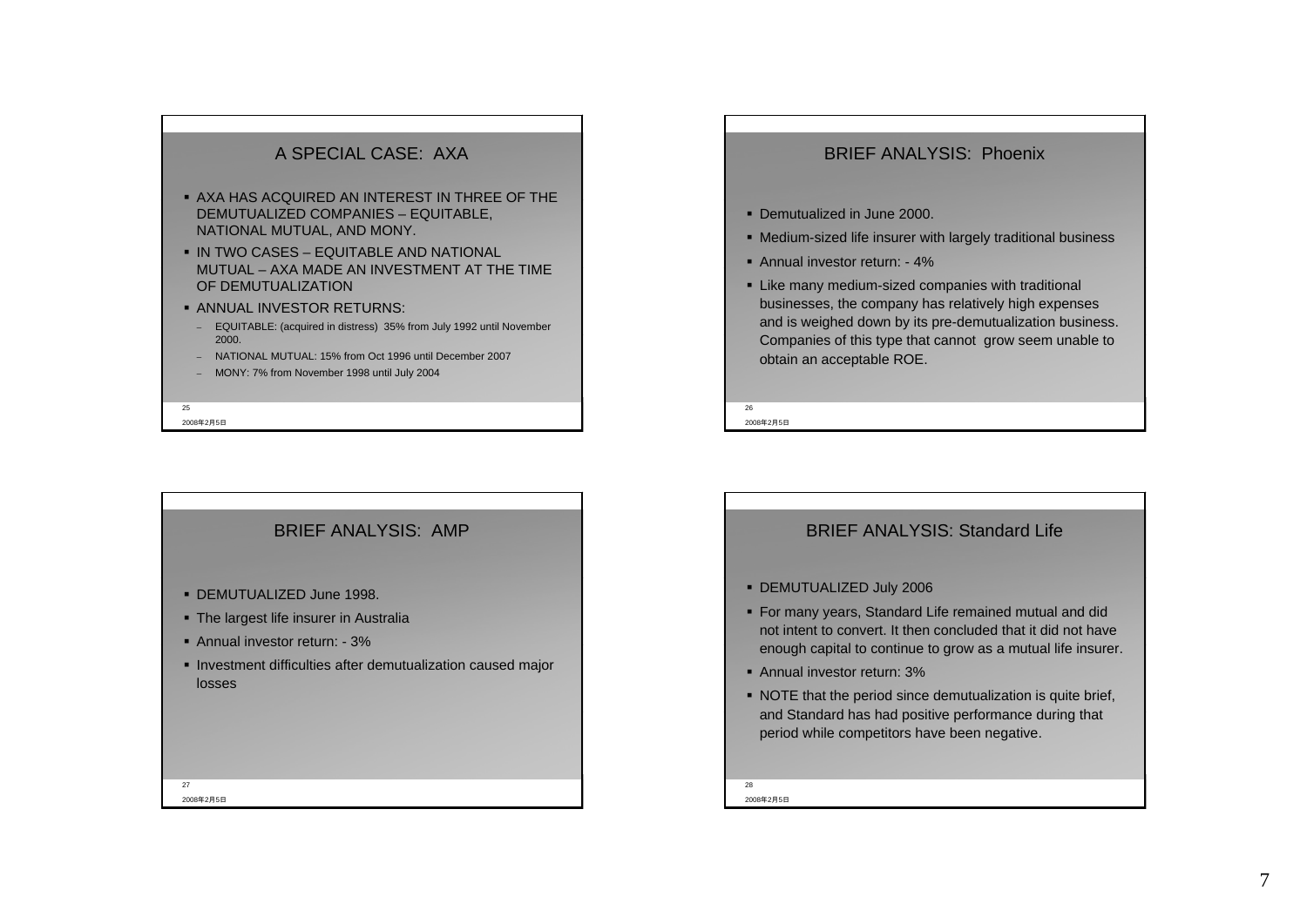### A SPECIAL CASE: AXA

- AXA HAS ACQUIRED AN INTEREST IN THREE OF THE DEMUTUALIZED COMPANIES – EQUITABLE, NATIONAL MUTUAL, AND MONY.
- $\bullet$  IN TWO CASES EQUITABLE AND NATIONAL. MUTUAL – AXA MADE AN INVESTMENT AT THE TIME OF DEMUTUALIZATION
- ANNUAL INVESTOR RETURNS:
- EQUITABLE: (acquired in distress) 35% from July 1992 until November 2000.
- NATIONAL MUTUAL: 15% from Oct 1996 until December 2007
- MONY: 7% from November 1998 until July 2004

2008年2月5日 $25$ 

2008年2月5日27

# BRIEF ANALYSIS: AMP DEMUTUALIZED June 1998. **The largest life insurer in Australia**  Annual investor return: - 3% **Investment difficulties after demutualization caused major** losses

### BRIEF ANALYSIS: Phoenix

- Demutualized in June 2000.
- Medium-sized life insurer with largely traditional business
- Annual investor return: 4%
- **Like many medium-sized companies with traditional** businesses, the company has relatively high expenses and is weighed down by its pre-demutualization business. Companies of this type that cannot grow seem unable to obtain an acceptable ROE.

2008年2月5日 $26$ 

### BRIEF ANALYSIS: Standard Life

#### DEMUTUALIZED July 2006

- For many years, Standard Life remained mutual and did not intent to convert. It then concluded that it did not have enough capital to continue to grow as a mutual life insurer.
- Annual investor return: 3%
- NOTE that the period since demutualization is quite brief, and Standard has had positive performance during that period while competitors have been negative.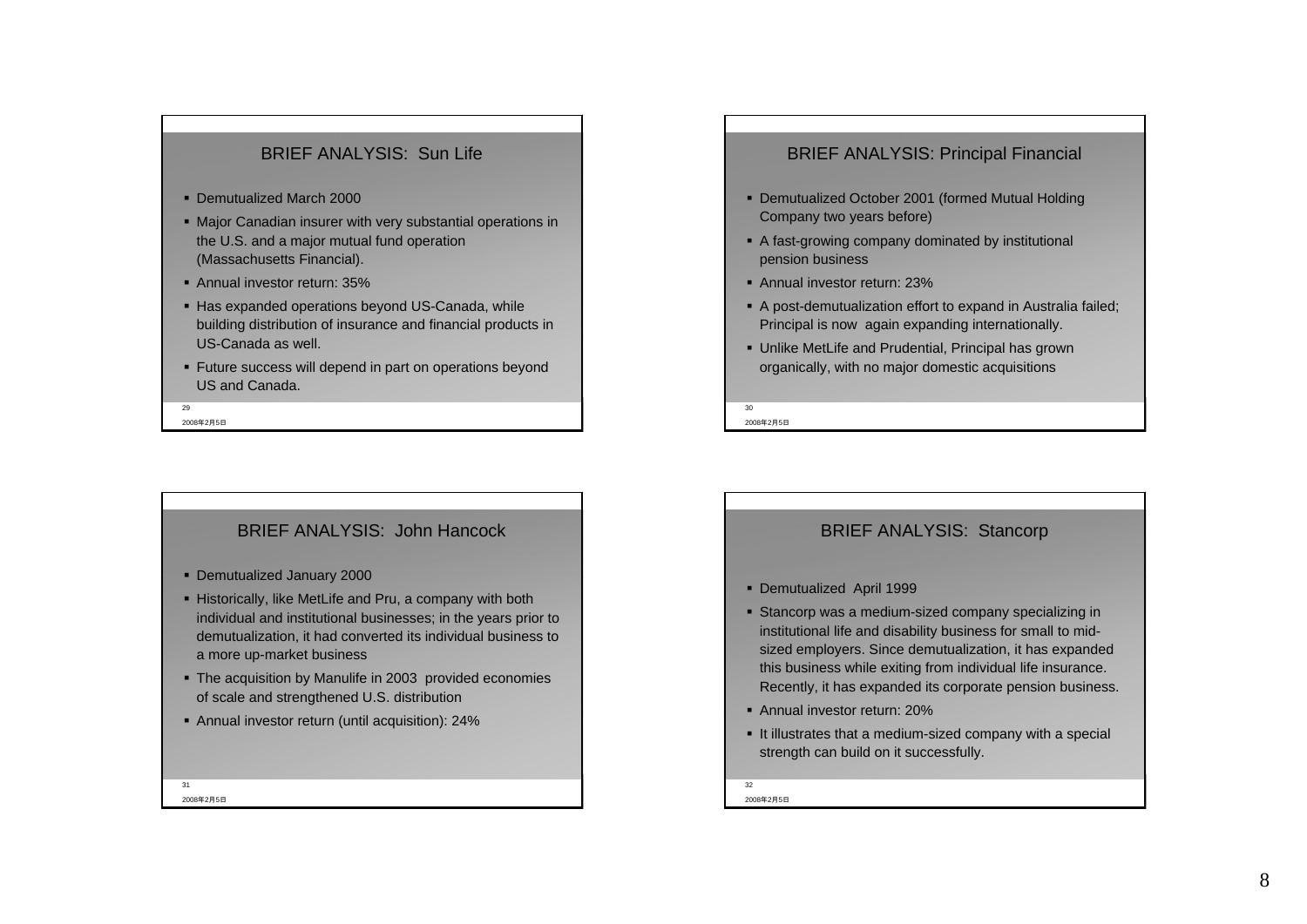### BRIEF ANALYSIS: Sun Life

- Demutualized March 2000
- Major Canadian insurer with very substantial operations in the U.S. and a major mutual fund operation (Massachusetts Financial).
- Annual investor return: 35%
- Has expanded operations beyond US-Canada, while building distribution of insurance and financial products in US-Canada as well.
- Future success will depend in part on operations beyond US and Canada.

2008年2月5日 $\overline{\phantom{a}}$ 

BRIEF ANALYSIS: John Hancock

- Demutualized January 2000
- Historically, like MetLife and Pru, a company with both individual and institutional businesses; in the years prior to demutualization, it had converted its individual business to a more up-market business
- The acquisition by Manulife in 2003 provided economies of scale and strengthened U.S. distribution
- Annual investor return (until acquisition): 24%

#### 2008年2月5日31

### BRIEF ANALYSIS: Principal Financial

- Demutualized October 2001 (formed Mutual Holding Company two years before)
- A fast-growing company dominated by institutional pension business
- Annual investor return: 23%
- A post-demutualization effort to expand in Australia failed; Principal is now again expanding internationally.
- Unlike MetLife and Prudential, Principal has grown organically, with no major domestic acquisitions

2008年2月5日 $20$ 

### BRIEF ANALYSIS: Stancorp

- Demutualized April 1999
- Stancorp was a medium-sized company specializing in institutional life and disability business for small to midsized employers. Since demutualization, it has expanded this business while exiting from individual life insurance. Recently, it has expanded its corporate pension business.
- Annual investor return: 20%
- It illustrates that a medium-sized company with a special strength can build on it successfully.